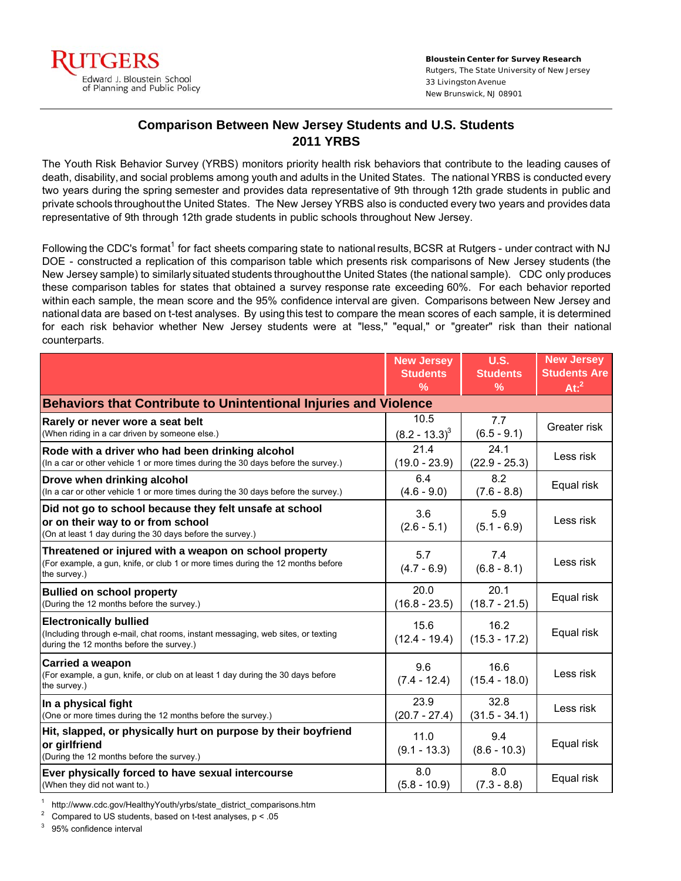

## **Comparison Between New Jersey Students and U.S. Students 2011 YRBS**

The Youth Risk Behavior Survey (YRBS) monitors priority health risk behaviors that contribute to the leading causes of death, disability, and social problems among youth and adults in the United States. The national YRBS is conducted every two years during the spring semester and provides data representative of 9th through 12th grade students in public and private schools throughoutthe United States. The New Jersey YRBS also is conducted every two years and provides data representative of 9th through 12th grade students in public schools throughout New Jersey.

Following the CDC's format<sup>1</sup> for fact sheets comparing state to national results, BCSR at Rutgers - under contract with NJ DOE - constructed a replication of this comparison table which presents risk comparisons of New Jersey students (the New Jersey sample) to similarly situated students throughoutthe United States (the national sample). CDC only produces these comparison tables for states that obtained a survey response rate exceeding 60%. For each behavior reported within each sample, the mean score and the 95% confidence interval are given. Comparisons between New Jersey and national data are based on t-test analyses. By using this test to compare the mean scores of each sample, it is determined for each risk behavior whether New Jersey students were at "less," "equal," or "greater" risk than their national counterparts.

|                                                                                                                                                              | <b>New Jersey</b>       | <b>U.S.</b>             | <b>New Jersey</b>   |  |  |
|--------------------------------------------------------------------------------------------------------------------------------------------------------------|-------------------------|-------------------------|---------------------|--|--|
|                                                                                                                                                              | <b>Students</b>         | <b>Students</b>         | <b>Students Are</b> |  |  |
|                                                                                                                                                              | $\frac{9}{6}$           | $\frac{9}{6}$           | At: <sup>2</sup>    |  |  |
| Behaviors that Contribute to Unintentional Injuries and Violence                                                                                             |                         |                         |                     |  |  |
| Rarely or never wore a seat belt                                                                                                                             | 10.5                    | 7.7                     | Greater risk        |  |  |
| (When riding in a car driven by someone else.)                                                                                                               | $(8.2 - 13.3)^3$        | $(6.5 - 9.1)$           |                     |  |  |
| Rode with a driver who had been drinking alcohol                                                                                                             | 21.4                    | 24.1                    | Less risk           |  |  |
| (In a car or other vehicle 1 or more times during the 30 days before the survey.)                                                                            | $(19.0 - 23.9)$         | $(22.9 - 25.3)$         |                     |  |  |
| Drove when drinking alcohol                                                                                                                                  | 6.4                     | 8.2                     | Equal risk          |  |  |
| (In a car or other vehicle 1 or more times during the 30 days before the survey.)                                                                            | $(4.6 - 9.0)$           | $(7.6 - 8.8)$           |                     |  |  |
| Did not go to school because they felt unsafe at school<br>or on their way to or from school<br>(On at least 1 day during the 30 days before the survey.)    | 3.6<br>$(2.6 - 5.1)$    | 5.9<br>$(5.1 - 6.9)$    | Less risk           |  |  |
| Threatened or injured with a weapon on school property<br>(For example, a gun, knife, or club 1 or more times during the 12 months before<br>the survey.)    | 5.7<br>$(4.7 - 6.9)$    | 7.4<br>$(6.8 - 8.1)$    | Less risk           |  |  |
| <b>Bullied on school property</b>                                                                                                                            | 20.0                    | 20.1                    | Equal risk          |  |  |
| (During the 12 months before the survey.)                                                                                                                    | $(16.8 - 23.5)$         | $(18.7 - 21.5)$         |                     |  |  |
| <b>Electronically bullied</b><br>(Including through e-mail, chat rooms, instant messaging, web sites, or texting<br>during the 12 months before the survey.) | 15.6<br>$(12.4 - 19.4)$ | 16.2<br>$(15.3 - 17.2)$ | Equal risk          |  |  |
| Carried a weapon<br>(For example, a gun, knife, or club on at least 1 day during the 30 days before<br>the survey.)                                          | 9.6<br>$(7.4 - 12.4)$   | 16.6<br>$(15.4 - 18.0)$ | Less risk           |  |  |
| In a physical fight                                                                                                                                          | 23.9                    | 32.8                    | Less risk           |  |  |
| (One or more times during the 12 months before the survey.)                                                                                                  | $(20.7 - 27.4)$         | $(31.5 - 34.1)$         |                     |  |  |
| Hit, slapped, or physically hurt on purpose by their boyfriend<br>or girlfriend<br>(During the 12 months before the survey.)                                 | 11.0<br>$(9.1 - 13.3)$  | 9.4<br>$(8.6 - 10.3)$   | Equal risk          |  |  |
| Ever physically forced to have sexual intercourse                                                                                                            | 8.0                     | 8.0                     | Equal risk          |  |  |
| (When they did not want to.)                                                                                                                                 | $(5.8 - 10.9)$          | $(7.3 - 8.8)$           |                     |  |  |

1 http://www.cdc.gov/HealthyYouth/yrbs/state\_district\_comparisons.htm

2 Compared to US students, based on t-test analyses, p < .05

3 95% confidence interval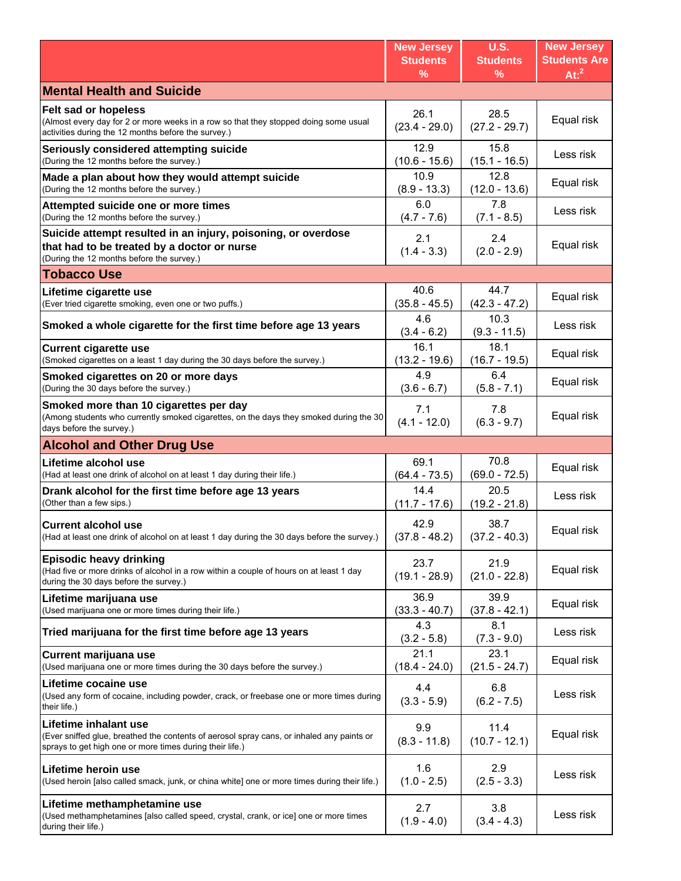|                                                                                                                                                                                | <b>New Jersey</b>       | <b>U.S.</b>             | <b>New Jersey</b>   |
|--------------------------------------------------------------------------------------------------------------------------------------------------------------------------------|-------------------------|-------------------------|---------------------|
|                                                                                                                                                                                | <b>Students</b>         | <b>Students</b>         | <b>Students Are</b> |
|                                                                                                                                                                                | $\frac{9}{6}$           | %                       | At: <sup>2</sup>    |
| <b>Mental Health and Suicide</b>                                                                                                                                               |                         |                         |                     |
| Felt sad or hopeless<br>(Almost every day for 2 or more weeks in a row so that they stopped doing some usual<br>activities during the 12 months before the survey.)            | 26.1<br>$(23.4 - 29.0)$ | 28.5<br>$(27.2 - 29.7)$ | Equal risk          |
| Seriously considered attempting suicide                                                                                                                                        | 12.9                    | 15.8                    | Less risk           |
| (During the 12 months before the survey.)                                                                                                                                      | $(10.6 - 15.6)$         | $(15.1 - 16.5)$         |                     |
| Made a plan about how they would attempt suicide                                                                                                                               | 10.9                    | 12.8                    | Equal risk          |
| (During the 12 months before the survey.)                                                                                                                                      | $(8.9 - 13.3)$          | $(12.0 - 13.6)$         |                     |
| Attempted suicide one or more times                                                                                                                                            | 6.0                     | 7.8                     | Less risk           |
| (During the 12 months before the survey.)                                                                                                                                      | $(4.7 - 7.6)$           | $(7.1 - 8.5)$           |                     |
| Suicide attempt resulted in an injury, poisoning, or overdose<br>that had to be treated by a doctor or nurse<br>(During the 12 months before the survey.)                      | 2.1<br>$(1.4 - 3.3)$    | 2.4<br>$(2.0 - 2.9)$    | Equal risk          |
| <b>Tobacco Use</b>                                                                                                                                                             |                         |                         |                     |
| Lifetime cigarette use                                                                                                                                                         | 40.6                    | 44.7                    | Equal risk          |
| (Ever tried cigarette smoking, even one or two puffs.)                                                                                                                         | $(35.8 - 45.5)$         | $(42.3 - 47.2)$         |                     |
| Smoked a whole cigarette for the first time before age 13 years                                                                                                                | 4.6<br>$(3.4 - 6.2)$    | 10.3<br>$(9.3 - 11.5)$  | Less risk           |
| <b>Current cigarette use</b>                                                                                                                                                   | 16.1                    | 18.1                    | Equal risk          |
| (Smoked cigarettes on a least 1 day during the 30 days before the survey.)                                                                                                     | $(13.2 - 19.6)$         | $(16.7 - 19.5)$         |                     |
| Smoked cigarettes on 20 or more days                                                                                                                                           | 4.9                     | 6.4                     | Equal risk          |
| (During the 30 days before the survey.)                                                                                                                                        | $(3.6 - 6.7)$           | $(5.8 - 7.1)$           |                     |
| Smoked more than 10 cigarettes per day<br>(Among students who currently smoked cigarettes, on the days they smoked during the 30<br>days before the survey.)                   | 7.1<br>$(4.1 - 12.0)$   | 7.8<br>$(6.3 - 9.7)$    | Equal risk          |
| <b>Alcohol and Other Drug Use</b>                                                                                                                                              |                         |                         |                     |
| Lifetime alcohol use                                                                                                                                                           | 69.1                    | 70.8                    | Equal risk          |
| (Had at least one drink of alcohol on at least 1 day during their life.)                                                                                                       | $(64.4 - 73.5)$         | $(69.0 - 72.5)$         |                     |
| Drank alcohol for the first time before age 13 years                                                                                                                           | 14.4                    | 20.5                    | Less risk           |
| (Other than a few sips.)                                                                                                                                                       | $(11.7 - 17.6)$         | $(19.2 - 21.8)$         |                     |
| <b>Current alcohol use</b>                                                                                                                                                     | 42.9                    | 38.7                    | Equal risk          |
| (Had at least one drink of alcohol on at least 1 day during the 30 days before the survey.)                                                                                    | $(37.8 - 48.2)$         | $(37.2 - 40.3)$         |                     |
| <b>Episodic heavy drinking</b><br>(Had five or more drinks of alcohol in a row within a couple of hours on at least 1 day<br>during the 30 days before the survey.)            | 23.7<br>$(19.1 - 28.9)$ | 21.9<br>$(21.0 - 22.8)$ | Equal risk          |
| Lifetime marijuana use                                                                                                                                                         | 36.9                    | 39.9                    | Equal risk          |
| (Used marijuana one or more times during their life.)                                                                                                                          | $(33.3 - 40.7)$         | $(37.8 - 42.1)$         |                     |
| Tried marijuana for the first time before age 13 years                                                                                                                         | 4.3<br>$(3.2 - 5.8)$    | 8.1<br>$(7.3 - 9.0)$    | Less risk           |
| Current marijuana use                                                                                                                                                          | 21.1                    | 23.1                    | Equal risk          |
| (Used marijuana one or more times during the 30 days before the survey.)                                                                                                       | $(18.4 - 24.0)$         | $(21.5 - 24.7)$         |                     |
| Lifetime cocaine use<br>(Used any form of cocaine, including powder, crack, or freebase one or more times during<br>their life.)                                               | 4.4<br>$(3.3 - 5.9)$    | 6.8<br>$(6.2 - 7.5)$    | Less risk           |
| Lifetime inhalant use<br>(Ever sniffed glue, breathed the contents of aerosol spray cans, or inhaled any paints or<br>sprays to get high one or more times during their life.) | 9.9<br>$(8.3 - 11.8)$   | 11.4<br>$(10.7 - 12.1)$ | Equal risk          |
| Lifetime heroin use                                                                                                                                                            | 1.6                     | 2.9                     | Less risk           |
| (Used heroin [also called smack, junk, or china white] one or more times during their life.)                                                                                   | $(1.0 - 2.5)$           | $(2.5 - 3.3)$           |                     |
| Lifetime methamphetamine use<br>(Used methamphetamines [also called speed, crystal, crank, or ice] one or more times<br>during their life.)                                    | 2.7<br>$(1.9 - 4.0)$    | 3.8<br>$(3.4 - 4.3)$    | Less risk           |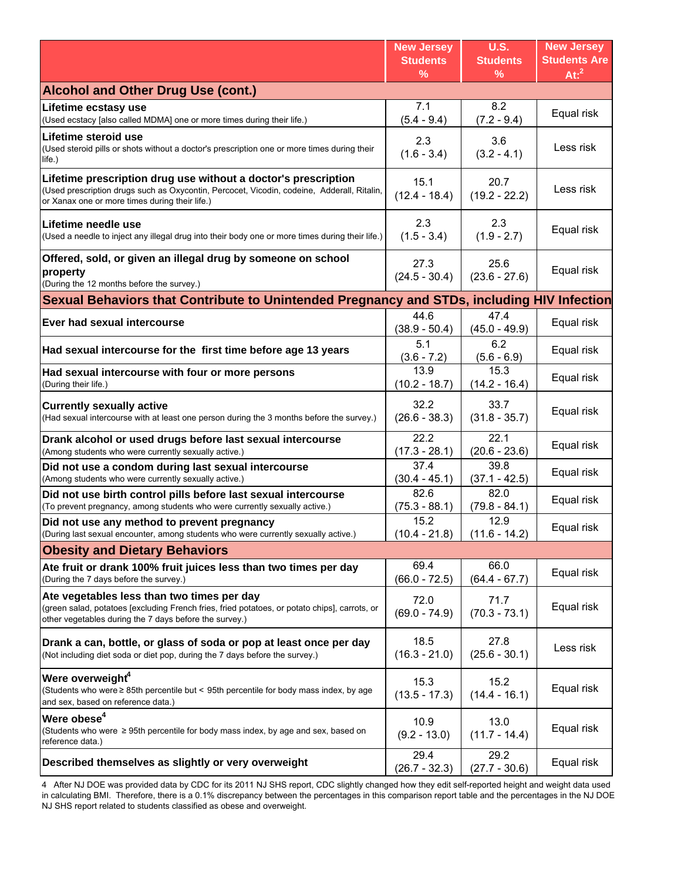|                                                                                                                                                                                                                | <b>New Jersey</b><br><b>Students</b><br>$\frac{9}{6}$ | <b>U.S.</b><br><b>Students</b><br>% | <b>New Jersey</b><br><b>Students Are</b><br>At: <sup>2</sup> |
|----------------------------------------------------------------------------------------------------------------------------------------------------------------------------------------------------------------|-------------------------------------------------------|-------------------------------------|--------------------------------------------------------------|
| <b>Alcohol and Other Drug Use (cont.)</b>                                                                                                                                                                      |                                                       |                                     |                                                              |
| Lifetime ecstasy use<br>(Used ecstacy [also called MDMA] one or more times during their life.)                                                                                                                 | 7.1<br>$(5.4 - 9.4)$                                  | 8.2<br>$(7.2 - 9.4)$                | Equal risk                                                   |
| Lifetime steroid use<br>(Used steroid pills or shots without a doctor's prescription one or more times during their<br>life.)                                                                                  | 2.3<br>$(1.6 - 3.4)$                                  | 3.6<br>$(3.2 - 4.1)$                | Less risk                                                    |
| Lifetime prescription drug use without a doctor's prescription<br>(Used prescription drugs such as Oxycontin, Percocet, Vicodin, codeine, Adderall, Ritalin,<br>or Xanax one or more times during their life.) | 15.1<br>$(12.4 - 18.4)$                               | 20.7<br>$(19.2 - 22.2)$             | Less risk                                                    |
| Lifetime needle use<br>(Used a needle to inject any illegal drug into their body one or more times during their life.)                                                                                         | 2.3<br>$(1.5 - 3.4)$                                  | 2.3<br>$(1.9 - 2.7)$                | Equal risk                                                   |
| Offered, sold, or given an illegal drug by someone on school<br>property<br>(During the 12 months before the survey.)                                                                                          | 27.3<br>$(24.5 - 30.4)$                               | 25.6<br>$(23.6 - 27.6)$             | Equal risk                                                   |
| Sexual Behaviors that Contribute to Unintended Pregnancy and STDs, including HIV Infection                                                                                                                     |                                                       |                                     |                                                              |
| Ever had sexual intercourse                                                                                                                                                                                    | 44.6<br>$(38.9 - 50.4)$                               | 47.4<br>$(45.0 - 49.9)$             | Equal risk                                                   |
| Had sexual intercourse for the first time before age 13 years                                                                                                                                                  | 5.1<br>$(3.6 - 7.2)$                                  | 6.2<br>$(5.6 - 6.9)$                | Equal risk                                                   |
| Had sexual intercourse with four or more persons<br>(During their life.)                                                                                                                                       | 13.9<br>$(10.2 - 18.7)$                               | 15.3<br>$(14.2 - 16.4)$             | Equal risk                                                   |
| <b>Currently sexually active</b><br>(Had sexual intercourse with at least one person during the 3 months before the survey.)                                                                                   | 32.2<br>$(26.6 - 38.3)$                               | 33.7<br>$(31.8 - 35.7)$             | Equal risk                                                   |
| Drank alcohol or used drugs before last sexual intercourse<br>(Among students who were currently sexually active.)                                                                                             | 22.2<br>$(17.3 - 28.1)$                               | 22.1<br>$(20.6 - 23.6)$             | Equal risk                                                   |
| Did not use a condom during last sexual intercourse<br>(Among students who were currently sexually active.)                                                                                                    | 37.4<br>$(30.4 - 45.1)$                               | 39.8<br>$(37.1 - 42.5)$             | Equal risk                                                   |
| Did not use birth control pills before last sexual intercourse<br>(To prevent pregnancy, among students who were currently sexually active.)                                                                   | 82.6<br>$(75.3 - 88.1)$                               | 82.0<br>$(79.8 - 84.1)$             | Equal risk                                                   |
| Did not use any method to prevent pregnancy<br>(During last sexual encounter, among students who were currently sexually active.)                                                                              | 15.2<br>$(10.4 - 21.8)$                               | 12.9<br>$(11.6 - 14.2)$             | Equal risk                                                   |
| <b>Obesity and Dietary Behaviors</b>                                                                                                                                                                           |                                                       |                                     |                                                              |
| Ate fruit or drank 100% fruit juices less than two times per day<br>(During the 7 days before the survey.)                                                                                                     | 69.4<br>$(66.0 - 72.5)$                               | 66.0<br>$(64.4 - 67.7)$             | Equal risk                                                   |
| Ate vegetables less than two times per day<br>(green salad, potatoes [excluding French fries, fried potatoes, or potato chips], carrots, or<br>other vegetables during the 7 days before the survey.)          | 72.0<br>$(69.0 - 74.9)$                               | 71.7<br>$(70.3 - 73.1)$             | Equal risk                                                   |
| Drank a can, bottle, or glass of soda or pop at least once per day<br>(Not including diet soda or diet pop, during the 7 days before the survey.)                                                              | 18.5<br>$(16.3 - 21.0)$                               | 27.8<br>$(25.6 - 30.1)$             | Less risk                                                    |
| Were overweight <sup>4</sup><br>(Students who were $\geq$ 85th percentile but < 95th percentile for body mass index, by age<br>and sex, based on reference data.)                                              | 15.3<br>$(13.5 - 17.3)$                               | 15.2<br>$(14.4 - 16.1)$             | Equal risk                                                   |
| Were obese <sup>4</sup><br>(Students who were $\geq$ 95th percentile for body mass index, by age and sex, based on<br>reference data.)                                                                         | 10.9<br>$(9.2 - 13.0)$                                | 13.0<br>$(11.7 - 14.4)$             | Equal risk                                                   |
| Described themselves as slightly or very overweight                                                                                                                                                            | 29.4<br>$(26.7 - 32.3)$                               | 29.2<br>$(27.7 - 30.6)$             | Equal risk                                                   |

4 After NJ DOE was provided data by CDC for its 2011 NJ SHS report, CDC slightly changed how they edit self-reported height and weight data used in calculating BMI. Therefore, there is a 0.1% discrepancy between the percentages in this comparison report table and the percentages in the NJ DOE NJ SHS report related to students classified as obese and overweight.